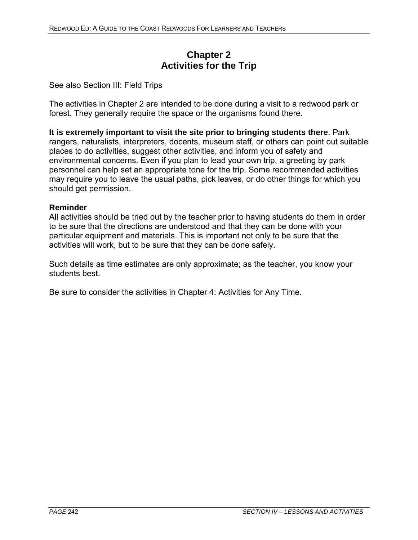## **Chapter 2 Activities for the Trip**

See also Section III: Field Trips

The activities in Chapter 2 are intended to be done during a visit to a redwood park or forest. They generally require the space or the organisms found there.

**It is extremely important to visit the site prior to bringing students there**. Park rangers, naturalists, interpreters, docents, museum staff, or others can point out suitable places to do activities, suggest other activities, and inform you of safety and environmental concerns. Even if you plan to lead your own trip, a greeting by park personnel can help set an appropriate tone for the trip. Some recommended activities may require you to leave the usual paths, pick leaves, or do other things for which you should get permission.

#### **Reminder**

All activities should be tried out by the teacher prior to having students do them in order to be sure that the directions are understood and that they can be done with your particular equipment and materials. This is important not only to be sure that the activities will work, but to be sure that they can be done safely.

Such details as time estimates are only approximate; as the teacher, you know your students best.

Be sure to consider the activities in Chapter 4: Activities for Any Time.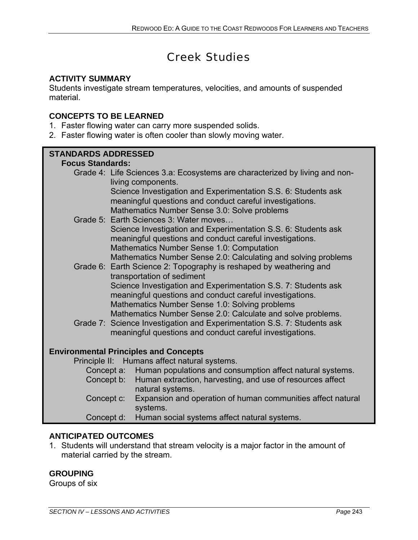# Creek Studies

## **ACTIVITY SUMMARY**

Students investigate stream temperatures, velocities, and amounts of suspended material.

## **CONCEPTS TO BE LEARNED**

- 1. Faster flowing water can carry more suspended solids.
- 2. Faster flowing water is often cooler than slowly moving water.

### **STANDARDS ADDRESSED Focus Standards:**  Grade 4: Life Sciences 3.a: Ecosystems are characterized by living and nonliving components. Science Investigation and Experimentation S.S. 6: Students ask meaningful questions and conduct careful investigations. Mathematics Number Sense 3.0: Solve problems Grade 5: Earth Sciences 3: Water moves… Science Investigation and Experimentation S.S. 6: Students ask meaningful questions and conduct careful investigations. Mathematics Number Sense 1.0: Computation Mathematics Number Sense 2.0: Calculating and solving problems Grade 6: Earth Science 2: Topography is reshaped by weathering and transportation of sediment Science Investigation and Experimentation S.S. 7: Students ask meaningful questions and conduct careful investigations. Mathematics Number Sense 1.0: Solving problems Mathematics Number Sense 2.0: Calculate and solve problems. Grade 7: Science Investigation and Experimentation S.S. 7: Students ask meaningful questions and conduct careful investigations. **Environmental Principles and Concepts**  Principle II: Humans affect natural systems. Concept a: Human populations and consumption affect natural systems. Concept b: Human extraction, harvesting, and use of resources affect natural systems. Concept c: Expansion and operation of human communities affect natural systems. Concept d: Human social systems affect natural systems.

## **ANTICIPATED OUTCOMES**

1. Students will understand that stream velocity is a major factor in the amount of material carried by the stream.

## **GROUPING**

ī

Groups of six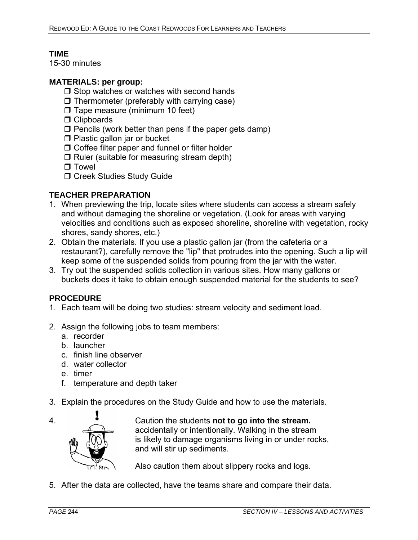## **TIME**

15-30 minutes

#### **MATERIALS: per group:**

- $\Box$  Stop watches or watches with second hands
- $\Box$  Thermometer (preferably with carrying case)
- $\Box$  Tape measure (minimum 10 feet)
- □ Clipboards
- $\square$  Pencils (work better than pens if the paper gets damp)
- $\Box$  Plastic gallon jar or bucket
- □ Coffee filter paper and funnel or filter holder
- $\Box$  Ruler (suitable for measuring stream depth)
- $\Box$  Towel
- $\Box$  Creek Studies Study Guide

#### **TEACHER PREPARATION**

- 1. When previewing the trip, locate sites where students can access a stream safely and without damaging the shoreline or vegetation. (Look for areas with varying velocities and conditions such as exposed shoreline, shoreline with vegetation, rocky shores, sandy shores, etc.)
- 2. Obtain the materials. If you use a plastic gallon jar (from the cafeteria or a restaurant?), carefully remove the "lip" that protrudes into the opening. Such a lip will keep some of the suspended solids from pouring from the jar with the water.
- 3. Try out the suspended solids collection in various sites. How many gallons or buckets does it take to obtain enough suspended material for the students to see?

#### **PROCEDURE**

- 1. Each team will be doing two studies: stream velocity and sediment load.
- 2. Assign the following jobs to team members:
	- a. recorder
	- b. launcher
	- c. finish line observer
	- d. water collector
	- e. timer
	- f. temperature and depth taker
- 3. Explain the procedures on the Study Guide and how to use the materials.



4. Caution the students **not to go into the stream.** accidentally or intentionally. Walking in the stream is likely to damage organisms living in or under rocks, and will stir up sediments.

Also caution them about slippery rocks and logs.

5. After the data are collected, have the teams share and compare their data.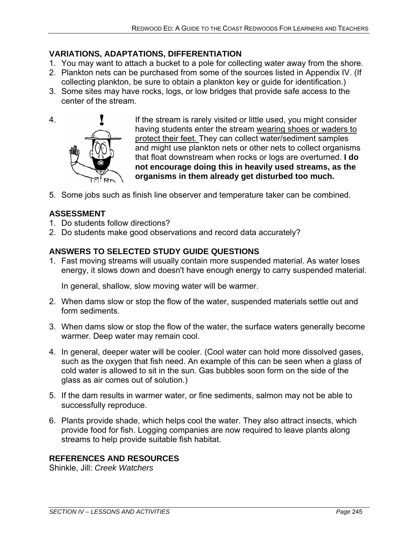## **VARIATIONS, ADAPTATIONS, DIFFERENTIATION**

- 1. You may want to attach a bucket to a pole for collecting water away from the shore.
- 2. Plankton nets can be purchased from some of the sources listed in Appendix IV. (If collecting plankton, be sure to obtain a plankton key or guide for identification.)
- 3. Some sites may have rocks, logs, or low bridges that provide safe access to the center of the stream.



4. If the stream is rarely visited or little used, you might consider having students enter the stream wearing shoes or waders to protect their feet. They can collect water/sediment samples and might use plankton nets or other nets to collect organisms that float downstream when rocks or logs are overturned. **I do not encourage doing this in heavily used streams, as the organisms in them already get disturbed too much.** 

5. Some jobs such as finish line observer and temperature taker can be combined.

## **ASSESSMENT**

- 1. Do students follow directions?
- 2. Do students make good observations and record data accurately?

## **ANSWERS TO SELECTED STUDY GUIDE QUESTIONS**

1. Fast moving streams will usually contain more suspended material. As water loses energy, it slows down and doesn't have enough energy to carry suspended material.

In general, shallow, slow moving water will be warmer.

- 2. When dams slow or stop the flow of the water, suspended materials settle out and form sediments.
- 3. When dams slow or stop the flow of the water, the surface waters generally become warmer. Deep water may remain cool.
- 4. In general, deeper water will be cooler. (Cool water can hold more dissolved gases, such as the oxygen that fish need. An example of this can be seen when a glass of cold water is allowed to sit in the sun. Gas bubbles soon form on the side of the glass as air comes out of solution.)
- 5. If the dam results in warmer water, or fine sediments, salmon may not be able to successfully reproduce.
- 6. Plants provide shade, which helps cool the water. They also attract insects, which provide food for fish. Logging companies are now required to leave plants along streams to help provide suitable fish habitat.

## **REFERENCES AND RESOURCES**

Shinkle, Jill: *Creek Watchers*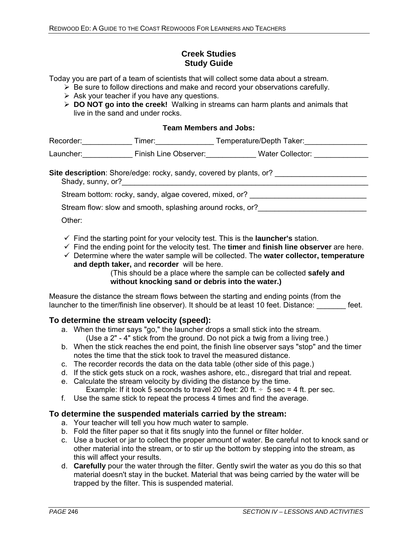#### **Creek Studies Study Guide**

Today you are part of a team of scientists that will collect some data about a stream.

- $\triangleright$  Be sure to follow directions and make and record your observations carefully.
- $\triangleright$  Ask your teacher if you have any questions.
- ¾ **DO NOT go into the creek!** Walking in streams can harm plants and animals that live in the sand and under rocks.

#### **Team Members and Jobs:**

| Recorder: Necorder:                                       | Timer: will be a series of the series of the series of the series of the series of the series of the series of the series of the series of the series of the series of the series of the series of the series of the series of | Temperature/Depth Taker:          |  |
|-----------------------------------------------------------|--------------------------------------------------------------------------------------------------------------------------------------------------------------------------------------------------------------------------------|-----------------------------------|--|
| Launcher: North Management of the Control                 | Finish Line Observer:                                                                                                                                                                                                          | Water Collector: Water Collector: |  |
| Shady, sunny, or?                                         | <b>Site description:</b> Shore/edge: rocky, sandy, covered by plants, or?                                                                                                                                                      |                                   |  |
| Stream bottom: rocky, sandy, algae covered, mixed, or?    |                                                                                                                                                                                                                                |                                   |  |
| Stream flow: slow and smooth, splashing around rocks, or? |                                                                                                                                                                                                                                |                                   |  |

Other:

- $\checkmark$  Find the starting point for your velocity test. This is the **launcher's** station.
- $\checkmark$  Find the ending point for the velocity test. The **timer** and **finish line observer** are here.
- 9 Determine where the water sample will be collected. The **water collector, temperature and depth taker,** and **recorder** will be here.

 (This should be a place where the sample can be collected **safely and without knocking sand or debris into the water.)** 

Measure the distance the stream flows between the starting and ending points (from the launcher to the timer/finish line observer). It should be at least 10 feet. Distance: feet.

#### **To determine the stream velocity (speed):**

- a. When the timer says "go," the launcher drops a small stick into the stream. (Use a 2" - 4" stick from the ground. Do not pick a twig from a living tree.)
- b. When the stick reaches the end point, the finish line observer says "stop" and the timer notes the time that the stick took to travel the measured distance.
- c. The recorder records the data on the data table (other side of this page.)
- d. If the stick gets stuck on a rock, washes ashore, etc., disregard that trial and repeat.
- e. Calculate the stream velocity by dividing the distance by the time. Example: If it took 5 seconds to travel 20 feet: 20 ft.  $\div$  5 sec = 4 ft. per sec.
- f. Use the same stick to repeat the process 4 times and find the average.

#### **To determine the suspended materials carried by the stream:**

- a. Your teacher will tell you how much water to sample.
- b. Fold the filter paper so that it fits snugly into the funnel or filter holder.
- c. Use a bucket or jar to collect the proper amount of water. Be careful not to knock sand or other material into the stream, or to stir up the bottom by stepping into the stream, as this will affect your results.
- d. **Carefully** pour the water through the filter. Gently swirl the water as you do this so that material doesn't stay in the bucket. Material that was being carried by the water will be trapped by the filter. This is suspended material.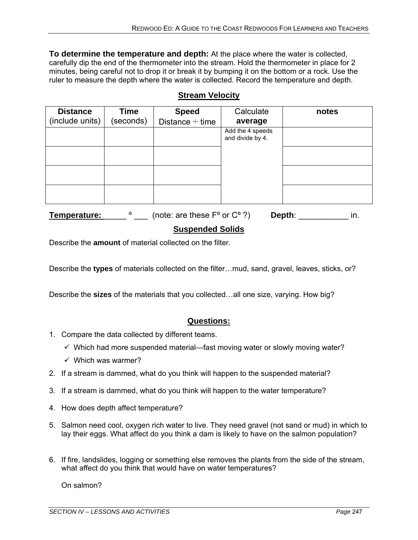**To determine the temperature and depth:** At the place where the water is collected, carefully dip the end of the thermometer into the stream. Hold the thermometer in place for 2 minutes, being careful not to drop it or break it by bumping it on the bottom or a rock. Use the ruler to measure the depth where the water is collected. Record the temperature and depth.

## **Stream Velocity**

| <b>Distance</b> | <b>Time</b> | <b>Speed</b>         | Calculate                            | notes |
|-----------------|-------------|----------------------|--------------------------------------|-------|
| (include units) | (seconds)   | Distance $\div$ time | average                              |       |
|                 |             |                      | Add the 4 speeds<br>and divide by 4. |       |
|                 |             |                      |                                      |       |
|                 |             |                      |                                      |       |
|                 |             |                      |                                      |       |

**Temperature:**  $\bullet$  (note: are these F<sup>o</sup> or C<sup>o</sup> ?) **Depth**: in.

#### **Suspended Solids**

Describe the **amount** of material collected on the filter.

Describe the **types** of materials collected on the filter…mud, sand, gravel, leaves, sticks, or?

Describe the **sizes** of the materials that you collected…all one size, varying. How big?

#### **Questions:**

- 1. Compare the data collected by different teams.
	- $\checkmark$  Which had more suspended material—fast moving water or slowly moving water?
	- $\checkmark$  Which was warmer?
- 2. If a stream is dammed, what do you think will happen to the suspended material?
- 3. If a stream is dammed, what do you think will happen to the water temperature?
- 4. How does depth affect temperature?
- 5. Salmon need cool, oxygen rich water to live. They need gravel (not sand or mud) in which to lay their eggs. What affect do you think a dam is likely to have on the salmon population?
- 6. If fire, landslides, logging or something else removes the plants from the side of the stream, what affect do you think that would have on water temperatures?

On salmon?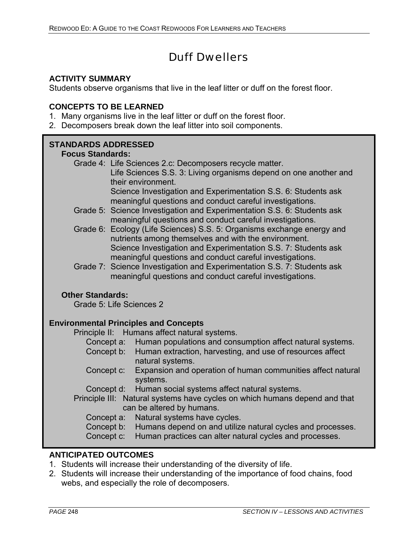## Duff Dwellers

#### **ACTIVITY SUMMARY**

Students observe organisms that live in the leaf litter or duff on the forest floor.

#### **CONCEPTS TO BE LEARNED**

- 1. Many organisms live in the leaf litter or duff on the forest floor.
- 2. Decomposers break down the leaf litter into soil components.

## **STANDARDS ADDRESSED**

#### **Focus Standards:**

- Grade 4: Life Sciences 2.c: Decomposers recycle matter. Life Sciences S.S. 3: Living organisms depend on one another and their environment. Science Investigation and Experimentation S.S. 6: Students ask meaningful questions and conduct careful investigations.
- Grade 5: Science Investigation and Experimentation S.S. 6: Students ask meaningful questions and conduct careful investigations.
- Grade 6: Ecology (Life Sciences) S.S. 5: Organisms exchange energy and nutrients among themselves and with the environment. Science Investigation and Experimentation S.S. 7: Students ask meaningful questions and conduct careful investigations.
- Grade 7: Science Investigation and Experimentation S.S. 7: Students ask meaningful questions and conduct careful investigations.

#### **Other Standards:**

Grade 5: Life Sciences 2

## **Environmental Principles and Concepts**

Principle II: Humans affect natural systems.

- Concept a: Human populations and consumption affect natural systems.
- Concept b: Human extraction, harvesting, and use of resources affect natural systems.
- Concept c: Expansion and operation of human communities affect natural systems.
- Concept d: Human social systems affect natural systems.
- Principle III: Natural systems have cycles on which humans depend and that can be altered by humans.
	- Concept a: Natural systems have cycles.
	- Concept b: Humans depend on and utilize natural cycles and processes.
	- Concept c: Human practices can alter natural cycles and processes.

#### **ANTICIPATED OUTCOMES**

- 1. Students will increase their understanding of the diversity of life.
- 2. Students will increase their understanding of the importance of food chains, food webs, and especially the role of decomposers.

l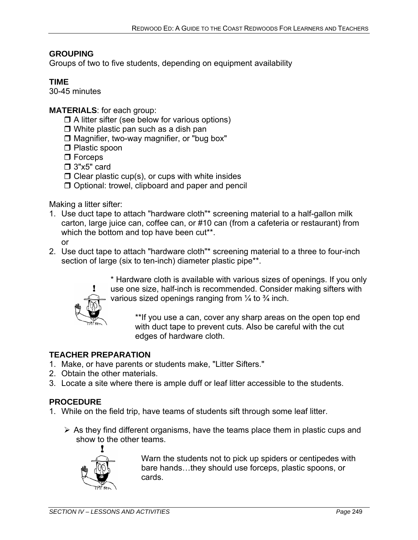## **GROUPING**

Groups of two to five students, depending on equipment availability

## **TIME**

30-45 minutes

**MATERIALS**: for each group:

- $\Box$  A litter sifter (see below for various options)
- $\Box$  White plastic pan such as a dish pan
- $\square$  Magnifier, two-way magnifier, or "bug box"
- □ Plastic spoon
- □ Forceps
- $\square$  3"x5" card
- $\Box$  Clear plastic cup(s), or cups with white insides
- Optional: trowel, clipboard and paper and pencil

Making a litter sifter:

- 1. Use duct tape to attach "hardware cloth"\* screening material to a half-gallon milk carton, large juice can, coffee can, or #10 can (from a cafeteria or restaurant) from which the bottom and top have been cut\*\*. or
- 2. Use duct tape to attach "hardware cloth"\* screening material to a three to four-inch section of large (six to ten-inch) diameter plastic pipe\*\*.



\* Hardware cloth is available with various sizes of openings. If you only use one size, half-inch is recommended. Consider making sifters with various sized openings ranging from  $\frac{1}{4}$  to  $\frac{3}{4}$  inch.

\*\*If you use a can, cover any sharp areas on the open top end with duct tape to prevent cuts. Also be careful with the cut edges of hardware cloth.

## **TEACHER PREPARATION**

- 1. Make, or have parents or students make, "Litter Sifters."
- 2. Obtain the other materials.
- 3. Locate a site where there is ample duff or leaf litter accessible to the students.

## **PROCEDURE**

- 1. While on the field trip, have teams of students sift through some leaf litter.
	- $\triangleright$  As they find different organisms, have the teams place them in plastic cups and show to the other teams.



Warn the students not to pick up spiders or centipedes with bare hands…they should use forceps, plastic spoons, or cards.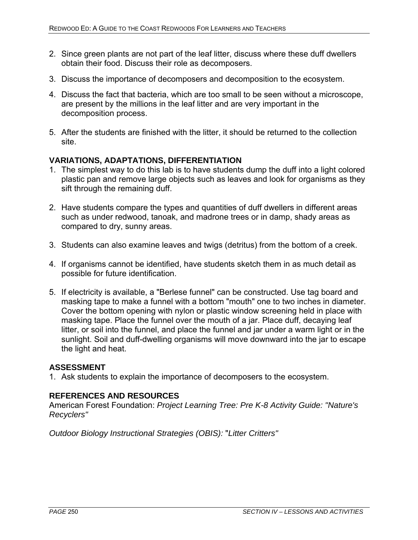- 2. Since green plants are not part of the leaf litter, discuss where these duff dwellers obtain their food. Discuss their role as decomposers.
- 3. Discuss the importance of decomposers and decomposition to the ecosystem.
- 4. Discuss the fact that bacteria, which are too small to be seen without a microscope, are present by the millions in the leaf litter and are very important in the decomposition process.
- 5. After the students are finished with the litter, it should be returned to the collection site.

#### **VARIATIONS, ADAPTATIONS, DIFFERENTIATION**

- 1. The simplest way to do this lab is to have students dump the duff into a light colored plastic pan and remove large objects such as leaves and look for organisms as they sift through the remaining duff.
- 2. Have students compare the types and quantities of duff dwellers in different areas such as under redwood, tanoak, and madrone trees or in damp, shady areas as compared to dry, sunny areas.
- 3. Students can also examine leaves and twigs (detritus) from the bottom of a creek.
- 4. If organisms cannot be identified, have students sketch them in as much detail as possible for future identification.
- 5. If electricity is available, a "Berlese funnel" can be constructed. Use tag board and masking tape to make a funnel with a bottom "mouth" one to two inches in diameter. Cover the bottom opening with nylon or plastic window screening held in place with masking tape. Place the funnel over the mouth of a jar. Place duff, decaying leaf litter, or soil into the funnel, and place the funnel and jar under a warm light or in the sunlight. Soil and duff-dwelling organisms will move downward into the jar to escape the light and heat.

#### **ASSESSMENT**

1. Ask students to explain the importance of decomposers to the ecosystem.

#### **REFERENCES AND RESOURCES**

American Forest Foundation: *Project Learning Tree: Pre K-8 Activity Guide: "Nature's Recyclers"* 

*Outdoor Biology Instructional Strategies (OBIS):* "*Litter Critters"*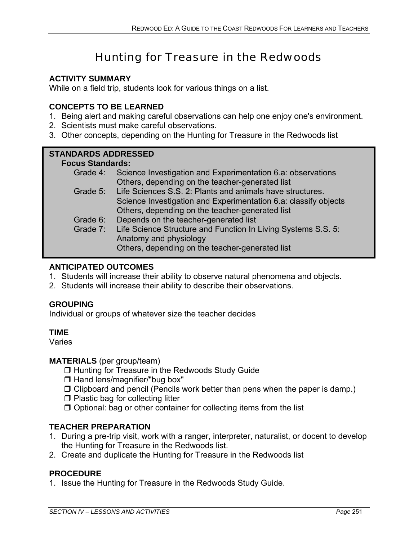# Hunting for Treasure in the Redwoods

## **ACTIVITY SUMMARY**

While on a field trip, students look for various things on a list.

#### **CONCEPTS TO BE LEARNED**

- 1. Being alert and making careful observations can help one enjoy one's environment.
- 2. Scientists must make careful observations.
- 3. Other concepts, depending on the Hunting for Treasure in the Redwoods list

#### **STANDARDS ADDRESSED**

#### **Focus Standards:**

- Grade 4: Science Investigation and Experimentation 6.a: observations Others, depending on the teacher-generated list
- Grade 5: Life Sciences S.S. 2: Plants and animals have structures. Science Investigation and Experimentation 6.a: classify objects Others, depending on the teacher-generated list
- Grade 6: Depends on the teacher-generated list
- Grade 7: Life Science Structure and Function In Living Systems S.S. 5: Anatomy and physiology Others, depending on the teacher-generated list

## **ANTICIPATED OUTCOMES**

- 1. Students will increase their ability to observe natural phenomena and objects.
- 2. Students will increase their ability to describe their observations.

#### **GROUPING**

Individual or groups of whatever size the teacher decides

#### **TIME**

Varies

#### **MATERIALS** (per group/team)

- □ Hunting for Treasure in the Redwoods Study Guide
- $\Box$  Hand lens/magnifier/"bug box"
- $\Box$  Clipboard and pencil (Pencils work better than pens when the paper is damp.)
- $\Box$  Plastic bag for collecting litter
- $\Box$  Optional: bag or other container for collecting items from the list

#### **TEACHER PREPARATION**

- 1. During a pre-trip visit, work with a ranger, interpreter, naturalist, or docent to develop the Hunting for Treasure in the Redwoods list.
- 2. Create and duplicate the Hunting for Treasure in the Redwoods list

#### **PROCEDURE**

1. Issue the Hunting for Treasure in the Redwoods Study Guide.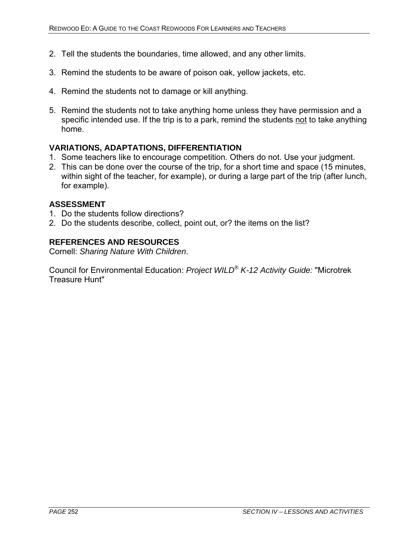- 2. Tell the students the boundaries, time allowed, and any other limits.
- 3. Remind the students to be aware of poison oak, yellow jackets, etc.
- 4. Remind the students not to damage or kill anything.
- 5. Remind the students not to take anything home unless they have permission and a specific intended use. If the trip is to a park, remind the students not to take anything home.

#### **VARIATIONS, ADAPTATIONS, DIFFERENTIATION**

- 1. Some teachers like to encourage competition. Others do not. Use your judgment.
- 2. This can be done over the course of the trip, for a short time and space (15 minutes, within sight of the teacher, for example), or during a large part of the trip (after lunch, for example).

#### **ASSESSMENT**

- 1. Do the students follow directions?
- 2. Do the students describe, collect, point out, or? the items on the list?

#### **REFERENCES AND RESOURCES**

Cornell: *Sharing Nature With Children*.

Council for Environmental Education: *Project WILD® K-12 Activity Guide:* "Microtrek Treasure Hunt"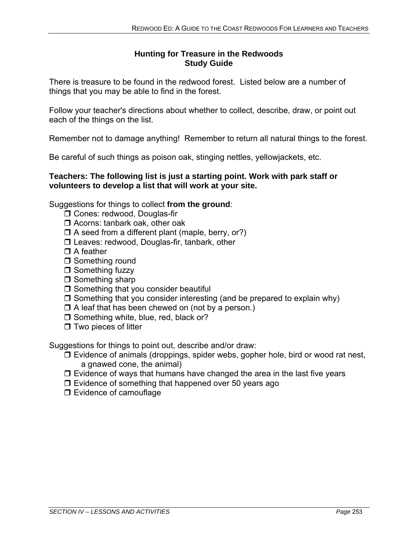## **Hunting for Treasure in the Redwoods Study Guide**

There is treasure to be found in the redwood forest. Listed below are a number of things that you may be able to find in the forest.

Follow your teacher's directions about whether to collect, describe, draw, or point out each of the things on the list.

Remember not to damage anything! Remember to return all natural things to the forest.

Be careful of such things as poison oak, stinging nettles, yellowjackets, etc.

#### **Teachers: The following list is just a starting point. Work with park staff or volunteers to develop a list that will work at your site.**

Suggestions for things to collect **from the ground**:

- □ Cones: redwood, Douglas-fir
- □ Acorns: tanbark oak, other oak
- $\Box$  A seed from a different plant (maple, berry, or?)
- □ Leaves: redwood, Douglas-fir, tanbark, other
- $\Box$  A feather
- □ Something round
- $\Box$  Something fuzzy
- $\Box$  Something sharp
- $\Box$  Something that you consider beautiful
- $\Box$  Something that you consider interesting (and be prepared to explain why)
- $\Box$  A leaf that has been chewed on (not by a person.)
- $\square$  Something white, blue, red, black or?
- $\Box$  Two pieces of litter

Suggestions for things to point out, describe and/or draw:

- $\Box$  Evidence of animals (droppings, spider webs, gopher hole, bird or wood rat nest, a gnawed cone, the animal)
- $\Box$  Evidence of ways that humans have changed the area in the last five years
- $\square$  Evidence of something that happened over 50 years ago
- **D** Evidence of camouflage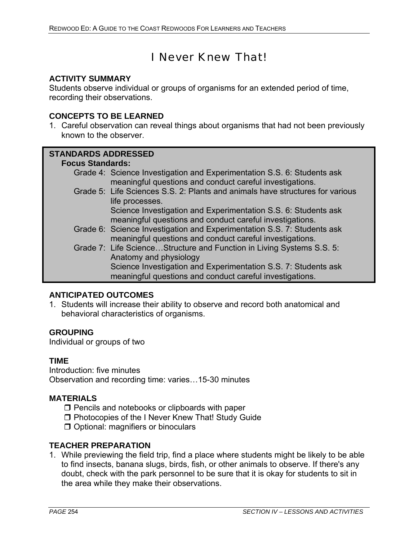# I Never Knew That!

#### **ACTIVITY SUMMARY**

Students observe individual or groups of organisms for an extended period of time, recording their observations.

#### **CONCEPTS TO BE LEARNED**

1. Careful observation can reveal things about organisms that had not been previously known to the observer.

#### **STANDARDS ADDRESSED**

#### **Focus Standards:**

- Grade 4: Science Investigation and Experimentation S.S. 6: Students ask meaningful questions and conduct careful investigations.
- Grade 5: Life Sciences S.S. 2: Plants and animals have structures for various life processes. Science Investigation and Experimentation S.S. 6: Students ask

meaningful questions and conduct careful investigations.

- Grade 6: Science Investigation and Experimentation S.S. 7: Students ask meaningful questions and conduct careful investigations.
- Grade 7: Life Science…Structure and Function in Living Systems S.S. 5: Anatomy and physiology Science Investigation and Experimentation S.S. 7: Students ask meaningful questions and conduct careful investigations.

## **ANTICIPATED OUTCOMES**

1. Students will increase their ability to observe and record both anatomical and behavioral characteristics of organisms.

#### **GROUPING**

Individual or groups of two

#### **TIME**

Introduction: five minutes Observation and recording time: varies…15-30 minutes

#### **MATERIALS**

- $\Box$  Pencils and notebooks or clipboards with paper
- **D** Photocopies of the I Never Knew That! Study Guide
- **O** Optional: magnifiers or binoculars

## **TEACHER PREPARATION**

1. While previewing the field trip, find a place where students might be likely to be able to find insects, banana slugs, birds, fish, or other animals to observe. If there's any doubt, check with the park personnel to be sure that it is okay for students to sit in the area while they make their observations.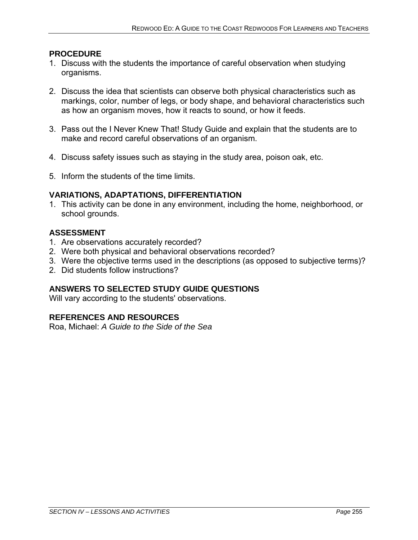#### **PROCEDURE**

- 1. Discuss with the students the importance of careful observation when studying organisms.
- 2. Discuss the idea that scientists can observe both physical characteristics such as markings, color, number of legs, or body shape, and behavioral characteristics such as how an organism moves, how it reacts to sound, or how it feeds.
- 3. Pass out the I Never Knew That! Study Guide and explain that the students are to make and record careful observations of an organism.
- 4. Discuss safety issues such as staying in the study area, poison oak, etc.
- 5. Inform the students of the time limits.

## **VARIATIONS, ADAPTATIONS, DIFFERENTIATION**

1. This activity can be done in any environment, including the home, neighborhood, or school grounds.

## **ASSESSMENT**

- 1. Are observations accurately recorded?
- 2. Were both physical and behavioral observations recorded?
- 3. Were the objective terms used in the descriptions (as opposed to subjective terms)?
- 2. Did students follow instructions?

## **ANSWERS TO SELECTED STUDY GUIDE QUESTIONS**

Will vary according to the students' observations.

## **REFERENCES AND RESOURCES**

Roa, Michael: *A Guide to the Side of the Sea*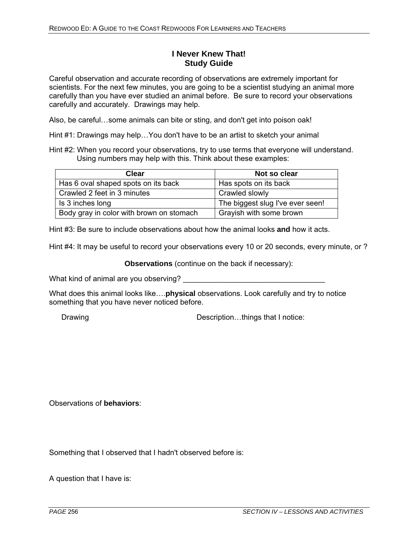#### **I Never Knew That! Study Guide**

Careful observation and accurate recording of observations are extremely important for scientists. For the next few minutes, you are going to be a scientist studying an animal more carefully than you have ever studied an animal before. Be sure to record your observations carefully and accurately. Drawings may help.

Also, be careful…some animals can bite or sting, and don't get into poison oak!

Hint #1: Drawings may help…You don't have to be an artist to sketch your animal

Hint #2: When you record your observations, try to use terms that everyone will understand. Using numbers may help with this. Think about these examples:

| Clear                                    | Not so clear                     |
|------------------------------------------|----------------------------------|
| Has 6 oval shaped spots on its back      | Has spots on its back            |
| Crawled 2 feet in 3 minutes              | Crawled slowly                   |
| Is 3 inches long                         | The biggest slug I've ever seen! |
| Body gray in color with brown on stomach | Grayish with some brown          |

Hint #3: Be sure to include observations about how the animal looks **and** how it acts.

Hint #4: It may be useful to record your observations every 10 or 20 seconds, every minute, or ?

**Observations** (continue on the back if necessary):

What kind of animal are you observing?

What does this animal looks like….**physical** observations. Look carefully and try to notice something that you have never noticed before.

Drawing Description...things that I notice:

Observations of **behaviors**:

Something that I observed that I hadn't observed before is:

A question that I have is: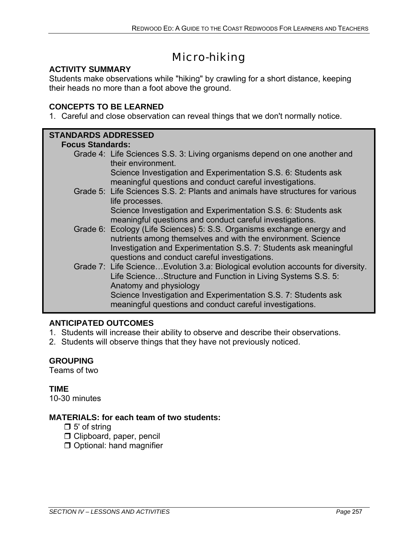# Micro-hiking

## **ACTIVITY SUMMARY**

Students make observations while "hiking" by crawling for a short distance, keeping their heads no more than a foot above the ground.

## **CONCEPTS TO BE LEARNED**

1. Careful and close observation can reveal things that we don't normally notice.

## **STANDARDS ADDRESSED**

#### **Focus Standards:**

Grade 4: Life Sciences S.S. 3: Living organisms depend on one another and their environment.

Science Investigation and Experimentation S.S. 6: Students ask meaningful questions and conduct careful investigations.

Grade 5: Life Sciences S.S. 2: Plants and animals have structures for various life processes.

Science Investigation and Experimentation S.S. 6: Students ask meaningful questions and conduct careful investigations.

- Grade 6: Ecology (Life Sciences) 5: S.S. Organisms exchange energy and nutrients among themselves and with the environment. Science Investigation and Experimentation S.S. 7: Students ask meaningful questions and conduct careful investigations.
- Grade 7: Life Science…Evolution 3.a: Biological evolution accounts for diversity. Life Science…Structure and Function in Living Systems S.S. 5: Anatomy and physiology Science Investigation and Experimentation S.S. 7: Students ask meaningful questions and conduct careful investigations.

## **ANTICIPATED OUTCOMES**

- 1. Students will increase their ability to observe and describe their observations.
- 2. Students will observe things that they have not previously noticed.

## **GROUPING**

Teams of two

## **TIME**

10-30 minutes

## **MATERIALS: for each team of two students:**

- $\Box$  5' of string
- Clipboard, paper, pencil
- $\Box$  Optional: hand magnifier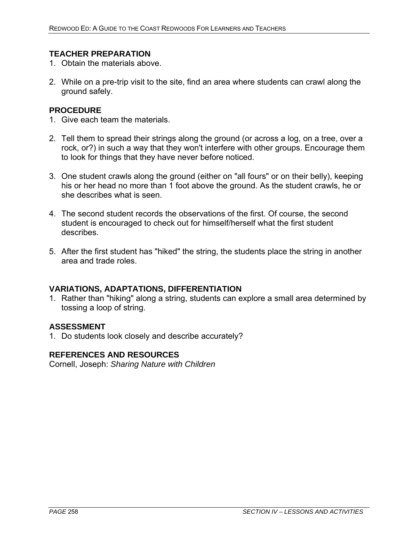#### **TEACHER PREPARATION**

- 1. Obtain the materials above.
- 2. While on a pre-trip visit to the site, find an area where students can crawl along the ground safely.

#### **PROCEDURE**

- 1. Give each team the materials.
- 2. Tell them to spread their strings along the ground (or across a log, on a tree, over a rock, or?) in such a way that they won't interfere with other groups. Encourage them to look for things that they have never before noticed.
- 3. One student crawls along the ground (either on "all fours" or on their belly), keeping his or her head no more than 1 foot above the ground. As the student crawls, he or she describes what is seen.
- 4. The second student records the observations of the first. Of course, the second student is encouraged to check out for himself/herself what the first student describes.
- 5. After the first student has "hiked" the string, the students place the string in another area and trade roles.

#### **VARIATIONS, ADAPTATIONS, DIFFERENTIATION**

1. Rather than "hiking" along a string, students can explore a small area determined by tossing a loop of string.

#### **ASSESSMENT**

1. Do students look closely and describe accurately?

#### **REFERENCES AND RESOURCES**

Cornell, Joseph: *Sharing Nature with Children*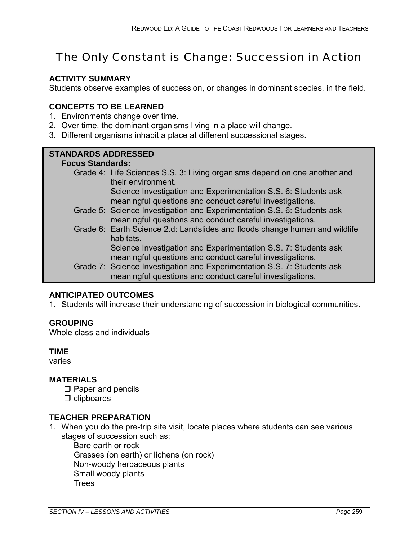# The Only Constant is Change: Succession in Action

#### **ACTIVITY SUMMARY**

Students observe examples of succession, or changes in dominant species, in the field.

#### **CONCEPTS TO BE LEARNED**

- 1. Environments change over time.
- 2. Over time, the dominant organisms living in a place will change.
- 3. Different organisms inhabit a place at different successional stages.

#### **STANDARDS ADDRESSED**

#### **Focus Standards:**

Grade 4: Life Sciences S.S. 3: Living organisms depend on one another and their environment.

Science Investigation and Experimentation S.S. 6: Students ask meaningful questions and conduct careful investigations.

- Grade 5: Science Investigation and Experimentation S.S. 6: Students ask meaningful questions and conduct careful investigations.
- Grade 6: Earth Science 2.d: Landslides and floods change human and wildlife habitats.

Science Investigation and Experimentation S.S. 7: Students ask meaningful questions and conduct careful investigations.

Grade 7: Science Investigation and Experimentation S.S. 7: Students ask meaningful questions and conduct careful investigations.

## **ANTICIPATED OUTCOMES**

1. Students will increase their understanding of succession in biological communities.

#### **GROUPING**

Whole class and individuals

#### **TIME**

varies

#### **MATERIALS**

- $\square$  Paper and pencils
- $\Box$  clipboards

#### **TEACHER PREPARATION**

1. When you do the pre-trip site visit, locate places where students can see various stages of succession such as:

 Bare earth or rock Grasses (on earth) or lichens (on rock) Non-woody herbaceous plants Small woody plants **Trees**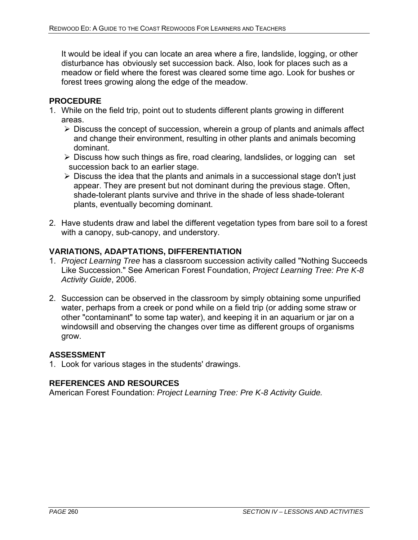It would be ideal if you can locate an area where a fire, landslide, logging, or other disturbance has obviously set succession back. Also, look for places such as a meadow or field where the forest was cleared some time ago. Look for bushes or forest trees growing along the edge of the meadow.

#### **PROCEDURE**

- 1. While on the field trip, point out to students different plants growing in different areas.
	- $\triangleright$  Discuss the concept of succession, wherein a group of plants and animals affect and change their environment, resulting in other plants and animals becoming dominant.
	- $\triangleright$  Discuss how such things as fire, road clearing, landslides, or logging can set succession back to an earlier stage.
	- ¾ Discuss the idea that the plants and animals in a successional stage don't just appear. They are present but not dominant during the previous stage. Often, shade-tolerant plants survive and thrive in the shade of less shade-tolerant plants, eventually becoming dominant.
- 2. Have students draw and label the different vegetation types from bare soil to a forest with a canopy, sub-canopy, and understory.

## **VARIATIONS, ADAPTATIONS, DIFFERENTIATION**

- 1. *Project Learning Tree* has a classroom succession activity called "Nothing Succeeds Like Succession." See American Forest Foundation, *Project Learning Tree: Pre K-8 Activity Guide*, 2006.
- 2. Succession can be observed in the classroom by simply obtaining some unpurified water, perhaps from a creek or pond while on a field trip (or adding some straw or other "contaminant" to some tap water), and keeping it in an aquarium or jar on a windowsill and observing the changes over time as different groups of organisms grow.

#### **ASSESSMENT**

1. Look for various stages in the students' drawings.

#### **REFERENCES AND RESOURCES**

American Forest Foundation: *Project Learning Tree: Pre K-8 Activity Guide.*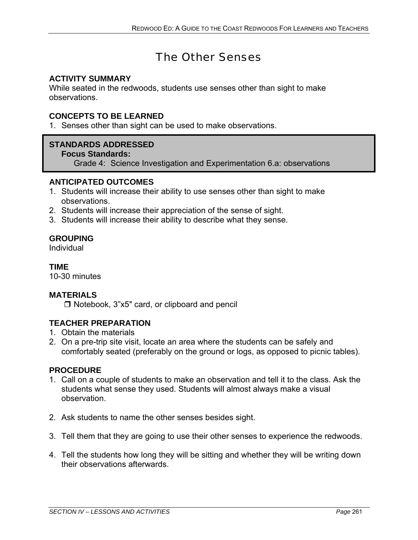# The Other Senses

## **ACTIVITY SUMMARY**

While seated in the redwoods, students use senses other than sight to make observations.

#### **CONCEPTS TO BE LEARNED**

1. Senses other than sight can be used to make observations.

## **STANDARDS ADDRESSED**

 **Focus Standards:** 

Grade 4: Science Investigation and Experimentation 6.a: observations

#### **ANTICIPATED OUTCOMES**

- 1. Students will increase their ability to use senses other than sight to make observations.
- 2. Students will increase their appreciation of the sense of sight.
- 3. Students will increase their ability to describe what they sense.

## **GROUPING**

Individual

## **TIME**

10-30 minutes

#### **MATERIALS**

 $\Box$  Notebook, 3"x5" card, or clipboard and pencil

## **TEACHER PREPARATION**

- 1. Obtain the materials
- 2. On a pre-trip site visit, locate an area where the students can be safely and comfortably seated (preferably on the ground or logs, as opposed to picnic tables).

#### **PROCEDURE**

- 1. Call on a couple of students to make an observation and tell it to the class. Ask the students what sense they used. Students will almost always make a visual observation.
- 2. Ask students to name the other senses besides sight.
- 3. Tell them that they are going to use their other senses to experience the redwoods.
- 4. Tell the students how long they will be sitting and whether they will be writing down their observations afterwards.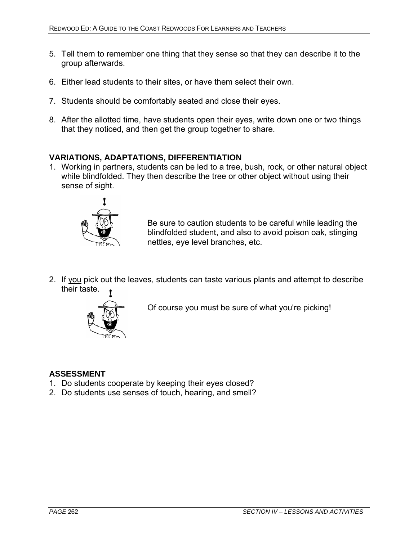- 5. Tell them to remember one thing that they sense so that they can describe it to the group afterwards.
- 6. Either lead students to their sites, or have them select their own.
- 7. Students should be comfortably seated and close their eyes.
- 8. After the allotted time, have students open their eyes, write down one or two things that they noticed, and then get the group together to share.

#### **VARIATIONS, ADAPTATIONS, DIFFERENTIATION**

1. Working in partners, students can be led to a tree, bush, rock, or other natural object while blindfolded. They then describe the tree or other object without using their sense of sight.



Be sure to caution students to be careful while leading the blindfolded student, and also to avoid poison oak, stinging nettles, eye level branches, etc.

2. If you pick out the leaves, students can taste various plants and attempt to describe their taste.



Of course you must be sure of what you're picking!

#### **ASSESSMENT**

- 1. Do students cooperate by keeping their eyes closed?
- 2. Do students use senses of touch, hearing, and smell?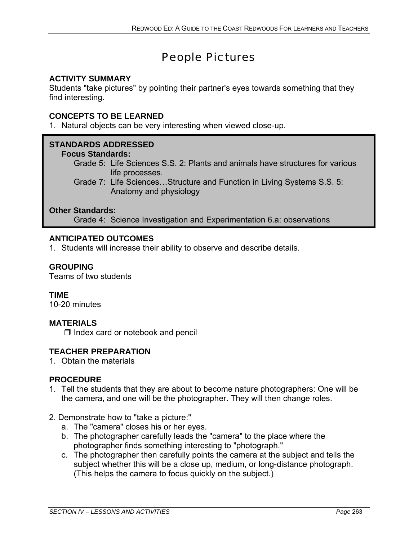# People Pictures

## **ACTIVITY SUMMARY**

Students "take pictures" by pointing their partner's eyes towards something that they find interesting.

## **CONCEPTS TO BE LEARNED**

1. Natural objects can be very interesting when viewed close-up.

## **STANDARDS ADDRESSED**

#### **Focus Standards:**

Grade 5: Life Sciences S.S. 2: Plants and animals have structures for various life processes.

Grade 7: Life Sciences…Structure and Function in Living Systems S.S. 5: Anatomy and physiology

#### **Other Standards:**

Grade 4: Science Investigation and Experimentation 6.a: observations

#### **ANTICIPATED OUTCOMES**

1. Students will increase their ability to observe and describe details.

## **GROUPING**

Teams of two students

#### **TIME**

10-20 minutes

#### **MATERIALS**

 $\Box$  Index card or notebook and pencil

#### **TEACHER PREPARATION**

1. Obtain the materials

## **PROCEDURE**

1. Tell the students that they are about to become nature photographers: One will be the camera, and one will be the photographer. They will then change roles.

#### 2. Demonstrate how to "take a picture:"

- a. The "camera" closes his or her eyes.
- b. The photographer carefully leads the "camera" to the place where the photographer finds something interesting to "photograph."
- c. The photographer then carefully points the camera at the subject and tells the subject whether this will be a close up, medium, or long-distance photograph. (This helps the camera to focus quickly on the subject.)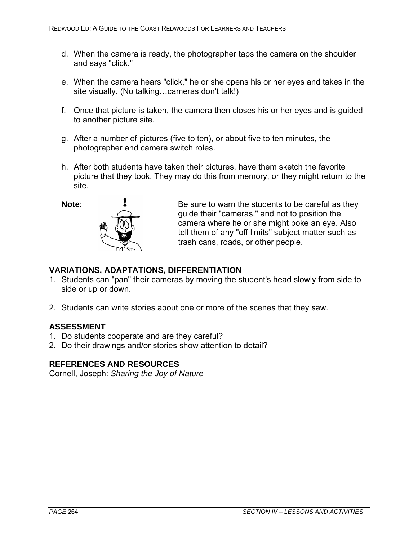- d. When the camera is ready, the photographer taps the camera on the shoulder and says "click."
- e. When the camera hears "click," he or she opens his or her eyes and takes in the site visually. (No talking…cameras don't talk!)
- f. Once that picture is taken, the camera then closes his or her eyes and is guided to another picture site.
- g. After a number of pictures (five to ten), or about five to ten minutes, the photographer and camera switch roles.
- h. After both students have taken their pictures, have them sketch the favorite picture that they took. They may do this from memory, or they might return to the site.



**Note: I** Be sure to warn the students to be careful as they guide their "cameras," and not to position the camera where he or she might poke an eye. Also tell them of any "off limits" subject matter such as trash cans, roads, or other people.

#### **VARIATIONS, ADAPTATIONS, DIFFERENTIATION**

- 1. Students can "pan" their cameras by moving the student's head slowly from side to side or up or down.
- 2. Students can write stories about one or more of the scenes that they saw.

#### **ASSESSMENT**

- 1. Do students cooperate and are they careful?
- 2. Do their drawings and/or stories show attention to detail?

#### **REFERENCES AND RESOURCES**

Cornell, Joseph: *Sharing the Joy of Nature*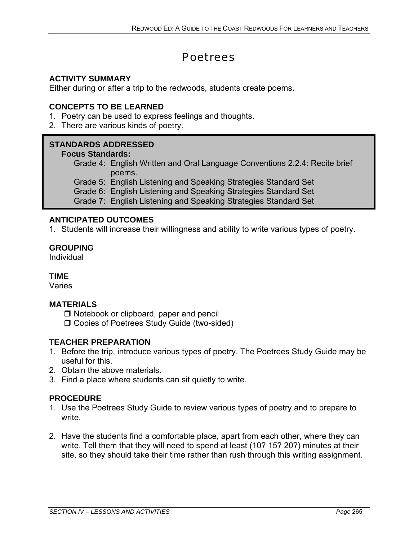# **Poetrees**

## **ACTIVITY SUMMARY**

Either during or after a trip to the redwoods, students create poems.

#### **CONCEPTS TO BE LEARNED**

- 1. Poetry can be used to express feelings and thoughts.
- 2. There are various kinds of poetry.

## **STANDARDS ADDRESSED**

#### **Focus Standards:**

Grade 4: English Written and Oral Language Conventions 2.2.4: Recite brief poems.

Grade 5: English Listening and Speaking Strategies Standard Set

Grade 6: English Listening and Speaking Strategies Standard Set

Grade 7: English Listening and Speaking Strategies Standard Set

## **ANTICIPATED OUTCOMES**

1. Students will increase their willingness and ability to write various types of poetry.

#### **GROUPING**

Individual

#### **TIME**

Varies

#### **MATERIALS**

- □ Notebook or clipboard, paper and pencil
- □ Copies of Poetrees Study Guide (two-sided)

## **TEACHER PREPARATION**

- 1. Before the trip, introduce various types of poetry. The Poetrees Study Guide may be useful for this.
- 2. Obtain the above materials.
- 3. Find a place where students can sit quietly to write.

## **PROCEDURE**

- 1. Use the Poetrees Study Guide to review various types of poetry and to prepare to write.
- 2. Have the students find a comfortable place, apart from each other, where they can write. Tell them that they will need to spend at least (10? 15? 20?) minutes at their site, so they should take their time rather than rush through this writing assignment.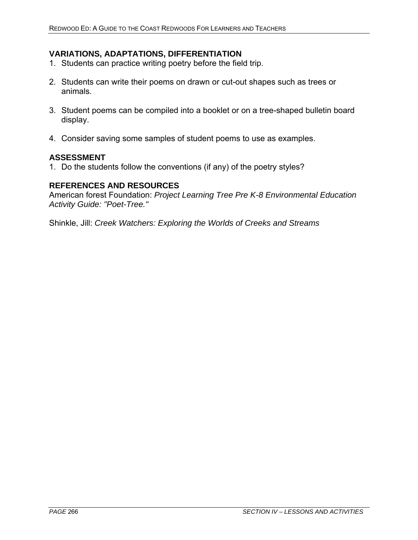## **VARIATIONS, ADAPTATIONS, DIFFERENTIATION**

- 1. Students can practice writing poetry before the field trip.
- 2. Students can write their poems on drawn or cut-out shapes such as trees or animals.
- 3. Student poems can be compiled into a booklet or on a tree-shaped bulletin board display.
- 4. Consider saving some samples of student poems to use as examples.

#### **ASSESSMENT**

1. Do the students follow the conventions (if any) of the poetry styles?

#### **REFERENCES AND RESOURCES**

American forest Foundation: *Project Learning Tree Pre K-8 Environmental Education Activity Guide: "Poet-Tree."* 

Shinkle, Jill: *Creek Watchers: Exploring the Worlds of Creeks and Streams*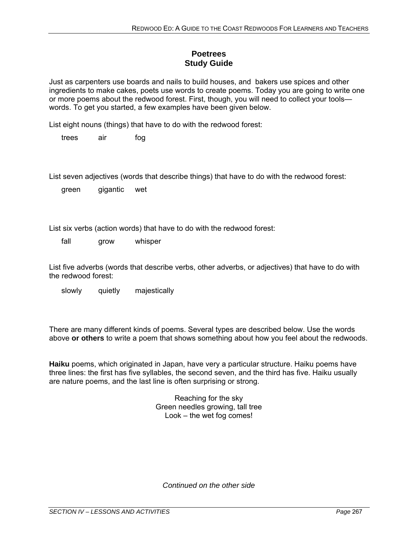## **Poetrees Study Guide**

Just as carpenters use boards and nails to build houses, and bakers use spices and other ingredients to make cakes, poets use words to create poems. Today you are going to write one or more poems about the redwood forest. First, though, you will need to collect your tools words. To get you started, a few examples have been given below.

List eight nouns (things) that have to do with the redwood forest:

trees air fog

List seven adjectives (words that describe things) that have to do with the redwood forest:

green gigantic wet

List six verbs (action words) that have to do with the redwood forest:

fall grow whisper

List five adverbs (words that describe verbs, other adverbs, or adjectives) that have to do with the redwood forest:

slowly quietly majestically

There are many different kinds of poems. Several types are described below. Use the words above **or others** to write a poem that shows something about how you feel about the redwoods.

**Haiku** poems, which originated in Japan, have very a particular structure. Haiku poems have three lines: the first has five syllables, the second seven, and the third has five. Haiku usually are nature poems, and the last line is often surprising or strong.

> Reaching for the sky Green needles growing, tall tree Look – the wet fog comes!

*Continued on the other side*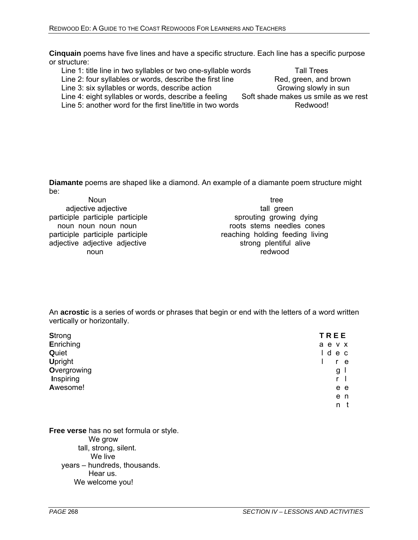**Cinquain** poems have five lines and have a specific structure. Each line has a specific purpose or structure:

Line 1: title line in two syllables or two one-syllable words Tall Trees

Line 3: six syllables or words, describe action Growing slowly in sun

Line 5: another word for the first line/title in two words Redwood!

**Diamante** poems are shaped like a diamond. An example of a diamante poem structure might be:

| <b>Noun</b>                      | tree                            |
|----------------------------------|---------------------------------|
| adjective adjective              | tall green                      |
| participle participle participle | sprouting growing dying         |
| noun noun noun noun              | roots stems needles cones       |
| participle participle participle | reaching holding feeding living |
| adjective adjective adjective    | strong plentiful alive          |
| noun                             | redwood                         |
|                                  |                                 |

An **acrostic** is a series of words or phrases that begin or end with the letters of a word written vertically or horizontally.

| <b>Strong</b>    | <b>TREE</b> |
|------------------|-------------|
| Enriching        | a e v x     |
| Quiet            | l d<br>e c  |
| <b>Upright</b>   | e           |
| Overgrowing      | g           |
| <b>Inspiring</b> | r           |
| Awesome!         | e e         |
|                  | e n         |
|                  | n t         |

**Free verse** has no set formula or style. We grow tall, strong, silent. We live years – hundreds, thousands. Hear us. We welcome you!

Line 2: four syllables or words, describe the first line Red, green, and brown Line 4: eight syllables or words, describe a feeling Soft shade makes us smile as we rest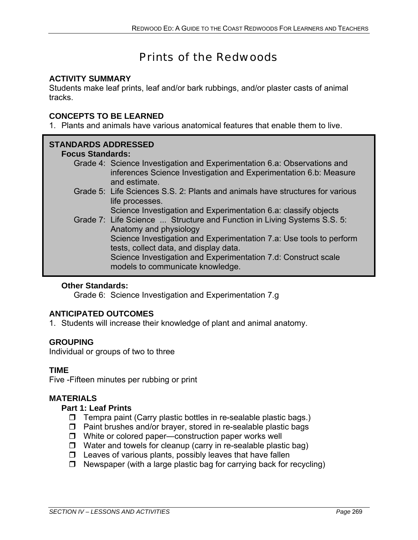# Prints of the Redwoods

## **ACTIVITY SUMMARY**

Students make leaf prints, leaf and/or bark rubbings, and/or plaster casts of animal tracks.

## **CONCEPTS TO BE LEARNED**

1. Plants and animals have various anatomical features that enable them to live.

## **STANDARDS ADDRESSED**

#### **Focus Standards:**

- Grade 4: Science Investigation and Experimentation 6.a: Observations and inferences Science Investigation and Experimentation 6.b: Measure and estimate.
- Grade 5: Life Sciences S.S. 2: Plants and animals have structures for various life processes.

Science Investigation and Experimentation 6.a: classify objects

Grade 7: Life Science ... Structure and Function in Living Systems S.S. 5: Anatomy and physiology Science Investigation and Experimentation 7.a: Use tools to perform tests, collect data, and display data. Science Investigation and Experimentation 7.d: Construct scale models to communicate knowledge.

## **Other Standards:**

Grade 6: Science Investigation and Experimentation 7.g

## **ANTICIPATED OUTCOMES**

1. Students will increase their knowledge of plant and animal anatomy.

## **GROUPING**

Individual or groups of two to three

#### **TIME**

Five -Fifteen minutes per rubbing or print

#### **MATERIALS**

#### **Part 1: Leaf Prints**

- $\Box$  Tempra paint (Carry plastic bottles in re-sealable plastic bags.)
- $\square$  Paint brushes and/or brayer, stored in re-sealable plastic bags
- $\Box$  White or colored paper—construction paper works well
- $\Box$  Water and towels for cleanup (carry in re-sealable plastic bag)
- $\square$  Leaves of various plants, possibly leaves that have fallen
- $\Box$  Newspaper (with a large plastic bag for carrying back for recycling)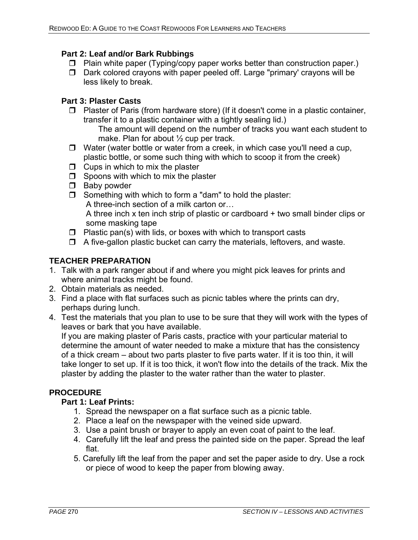#### **Part 2: Leaf and/or Bark Rubbings**

- $\Box$  Plain white paper (Typing/copy paper works better than construction paper.)
- $\square$  Dark colored crayons with paper peeled off. Large "primary' crayons will be less likely to break.

## **Part 3: Plaster Casts**

 $\Box$  Plaster of Paris (from hardware store) (If it doesn't come in a plastic container, transfer it to a plastic container with a tightly sealing lid.)

 The amount will depend on the number of tracks you want each student to make. Plan for about 1/2 cup per track.

- $\Box$  Water (water bottle or water from a creek, in which case you'll need a cup, plastic bottle, or some such thing with which to scoop it from the creek)
- $\Box$  Cups in which to mix the plaster
- $\Box$  Spoons with which to mix the plaster
- $\Box$  Baby powder
- $\Box$  Something with which to form a "dam" to hold the plaster:
	- A three-inch section of a milk carton or…

 A three inch x ten inch strip of plastic or cardboard + two small binder clips or some masking tape

- $\Box$  Plastic pan(s) with lids, or boxes with which to transport casts
- $\Box$  A five-gallon plastic bucket can carry the materials, leftovers, and waste.

#### **TEACHER PREPARATION**

- 1. Talk with a park ranger about if and where you might pick leaves for prints and where animal tracks might be found.
- 2. Obtain materials as needed.
- 3. Find a place with flat surfaces such as picnic tables where the prints can dry, perhaps during lunch.
- 4. Test the materials that you plan to use to be sure that they will work with the types of leaves or bark that you have available.

 If you are making plaster of Paris casts, practice with your particular material to determine the amount of water needed to make a mixture that has the consistency of a thick cream – about two parts plaster to five parts water. If it is too thin, it will take longer to set up. If it is too thick, it won't flow into the details of the track. Mix the plaster by adding the plaster to the water rather than the water to plaster.

## **PROCEDURE**

#### **Part 1: Leaf Prints:**

- 1. Spread the newspaper on a flat surface such as a picnic table.
- 2. Place a leaf on the newspaper with the veined side upward.
- 3. Use a paint brush or brayer to apply an even coat of paint to the leaf.
- 4. Carefully lift the leaf and press the painted side on the paper. Spread the leaf flat.
- 5. Carefully lift the leaf from the paper and set the paper aside to dry. Use a rock or piece of wood to keep the paper from blowing away.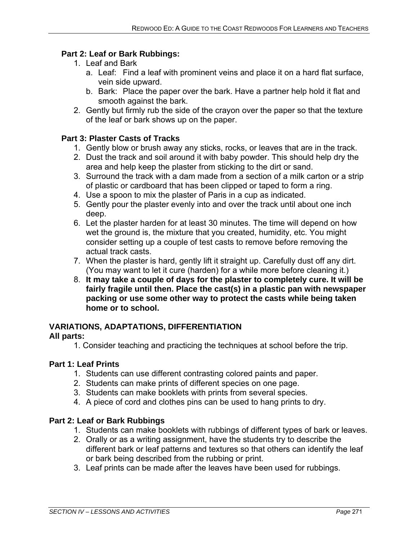## **Part 2: Leaf or Bark Rubbings:**

- 1. Leaf and Bark
	- a. Leaf: Find a leaf with prominent veins and place it on a hard flat surface, vein side upward.
	- b. Bark: Place the paper over the bark. Have a partner help hold it flat and smooth against the bark.
- 2. Gently but firmly rub the side of the crayon over the paper so that the texture of the leaf or bark shows up on the paper.

#### **Part 3: Plaster Casts of Tracks**

- 1. Gently blow or brush away any sticks, rocks, or leaves that are in the track.
- 2. Dust the track and soil around it with baby powder. This should help dry the area and help keep the plaster from sticking to the dirt or sand.
- 3. Surround the track with a dam made from a section of a milk carton or a strip of plastic or cardboard that has been clipped or taped to form a ring.
- 4. Use a spoon to mix the plaster of Paris in a cup as indicated.
- 5. Gently pour the plaster evenly into and over the track until about one inch deep.
- 6. Let the plaster harden for at least 30 minutes. The time will depend on how wet the ground is, the mixture that you created, humidity, etc. You might consider setting up a couple of test casts to remove before removing the actual track casts.
- 7. When the plaster is hard, gently lift it straight up. Carefully dust off any dirt. (You may want to let it cure (harden) for a while more before cleaning it.)
- 8. **It may take a couple of days for the plaster to completely cure. It will be fairly fragile until then. Place the cast(s) in a plastic pan with newspaper packing or use some other way to protect the casts while being taken home or to school.**

## **VARIATIONS, ADAPTATIONS, DIFFERENTIATION**

## **All parts:**

1. Consider teaching and practicing the techniques at school before the trip.

#### **Part 1: Leaf Prints**

- 1. Students can use different contrasting colored paints and paper.
- 2. Students can make prints of different species on one page.
- 3. Students can make booklets with prints from several species.
- 4. A piece of cord and clothes pins can be used to hang prints to dry.

## **Part 2: Leaf or Bark Rubbings**

- 1. Students can make booklets with rubbings of different types of bark or leaves.
- 2. Orally or as a writing assignment, have the students try to describe the different bark or leaf patterns and textures so that others can identify the leaf or bark being described from the rubbing or print.
- 3. Leaf prints can be made after the leaves have been used for rubbings.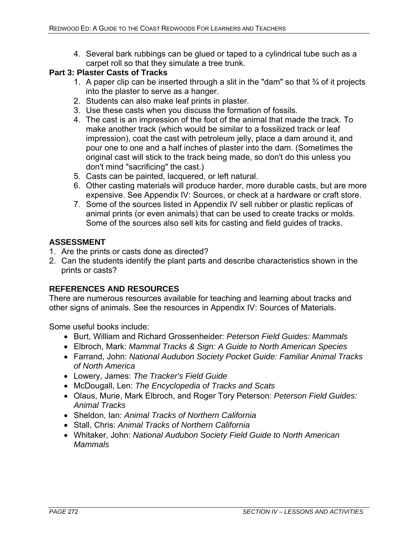4. Several bark rubbings can be glued or taped to a cylindrical tube such as a carpet roll so that they simulate a tree trunk.

#### **Part 3: Plaster Casts of Tracks**

- 1. A paper clip can be inserted through a slit in the "dam" so that  $\frac{3}{4}$  of it projects into the plaster to serve as a hanger.
- 2. Students can also make leaf prints in plaster.
- 3. Use these casts when you discuss the formation of fossils.
- 4. The cast is an impression of the foot of the animal that made the track. To make another track (which would be similar to a fossilized track or leaf impression), coat the cast with petroleum jelly, place a dam around it, and pour one to one and a half inches of plaster into the dam. (Sometimes the original cast will stick to the track being made, so don't do this unless you don't mind "sacrificing" the cast.)
- 5. Casts can be painted, lacquered, or left natural.
- 6. Other casting materials will produce harder, more durable casts, but are more expensive. See Appendix IV: Sources, or check at a hardware or craft store.
- 7. Some of the sources listed in Appendix IV sell rubber or plastic replicas of animal prints (or even animals) that can be used to create tracks or molds. Some of the sources also sell kits for casting and field guides of tracks.

#### **ASSESSMENT**

- 1. Are the prints or casts done as directed?
- 2. Can the students identify the plant parts and describe characteristics shown in the prints or casts?

## **REFERENCES AND RESOURCES**

There are numerous resources available for teaching and learning about tracks and other signs of animals. See the resources in Appendix IV: Sources of Materials.

Some useful books include:

- Burt, William and Richard Grossenheider: *Peterson Field Guides: Mammals*
- Elbroch, Mark: *Mammal Tracks & Sign: A Guide to North American Species*
- Farrand, John: *National Audubon Society Pocket Guide: Familiar Animal Tracks of North America*
- Lowery, James: *The Tracker's Field Guide*
- McDougall, Len: *The Encyclopedia of Tracks and Scats*
- Olaus, Murie, Mark Elbroch, and Roger Tory Peterson: *Peterson Field Guides: Animal Tracks*
- Sheldon, Ian: *Animal Tracks of Northern California*
- Stall, Chris: *Animal Tracks of Northern California*
- Whitaker, John: *National Audubon Society Field Guide to North American Mammals*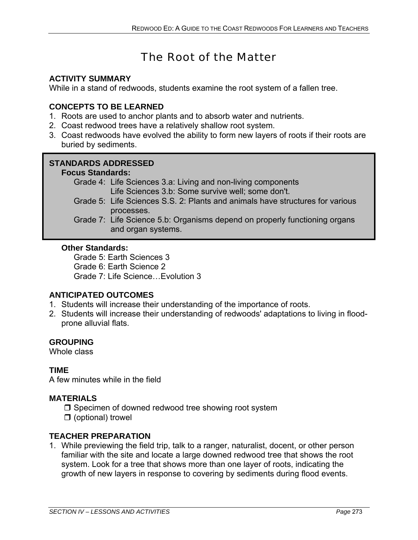# The Root of the Matter

## **ACTIVITY SUMMARY**

While in a stand of redwoods, students examine the root system of a fallen tree.

## **CONCEPTS TO BE LEARNED**

- 1. Roots are used to anchor plants and to absorb water and nutrients.
- 2. Coast redwood trees have a relatively shallow root system.
- 3. Coast redwoods have evolved the ability to form new layers of roots if their roots are buried by sediments.

## **STANDARDS ADDRESSED**

## **Focus Standards:**

- Grade 4: Life Sciences 3.a: Living and non-living components Life Sciences 3.b: Some survive well; some don't.
- Grade 5: Life Sciences S.S. 2: Plants and animals have structures for various processes.
- Grade 7: Life Science 5.b: Organisms depend on properly functioning organs and organ systems.

#### **Other Standards:**

Grade 5: Earth Sciences 3 Grade 6: Earth Science 2 Grade 7: Life Science…Evolution 3

## **ANTICIPATED OUTCOMES**

- 1. Students will increase their understanding of the importance of roots.
- 2. Students will increase their understanding of redwoods' adaptations to living in floodprone alluvial flats.

## **GROUPING**

Whole class

## **TIME**

A few minutes while in the field

#### **MATERIALS**

- $\Box$  Specimen of downed redwood tree showing root system
- $\Box$  (optional) trowel

## **TEACHER PREPARATION**

1. While previewing the field trip, talk to a ranger, naturalist, docent, or other person familiar with the site and locate a large downed redwood tree that shows the root system. Look for a tree that shows more than one layer of roots, indicating the growth of new layers in response to covering by sediments during flood events.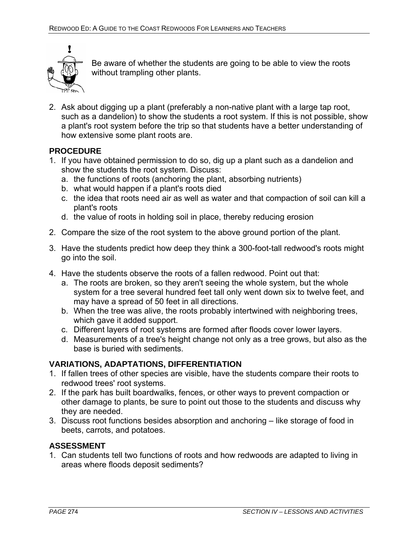

Be aware of whether the students are going to be able to view the roots without trampling other plants.

2. Ask about digging up a plant (preferably a non-native plant with a large tap root, such as a dandelion) to show the students a root system. If this is not possible, show a plant's root system before the trip so that students have a better understanding of how extensive some plant roots are.

#### **PROCEDURE**

- 1. If you have obtained permission to do so, dig up a plant such as a dandelion and show the students the root system. Discuss:
	- a. the functions of roots (anchoring the plant, absorbing nutrients)
	- b. what would happen if a plant's roots died
	- c. the idea that roots need air as well as water and that compaction of soil can kill a plant's roots
	- d. the value of roots in holding soil in place, thereby reducing erosion
- 2. Compare the size of the root system to the above ground portion of the plant.
- 3. Have the students predict how deep they think a 300-foot-tall redwood's roots might go into the soil.
- 4. Have the students observe the roots of a fallen redwood. Point out that:
	- a. The roots are broken, so they aren't seeing the whole system, but the whole system for a tree several hundred feet tall only went down six to twelve feet, and may have a spread of 50 feet in all directions.
	- b. When the tree was alive, the roots probably intertwined with neighboring trees, which gave it added support.
	- c. Different layers of root systems are formed after floods cover lower layers.
	- d. Measurements of a tree's height change not only as a tree grows, but also as the base is buried with sediments.

## **VARIATIONS, ADAPTATIONS, DIFFERENTIATION**

- 1. If fallen trees of other species are visible, have the students compare their roots to redwood trees' root systems.
- 2. If the park has built boardwalks, fences, or other ways to prevent compaction or other damage to plants, be sure to point out those to the students and discuss why they are needed.
- 3. Discuss root functions besides absorption and anchoring like storage of food in beets, carrots, and potatoes.

## **ASSESSMENT**

1. Can students tell two functions of roots and how redwoods are adapted to living in areas where floods deposit sediments?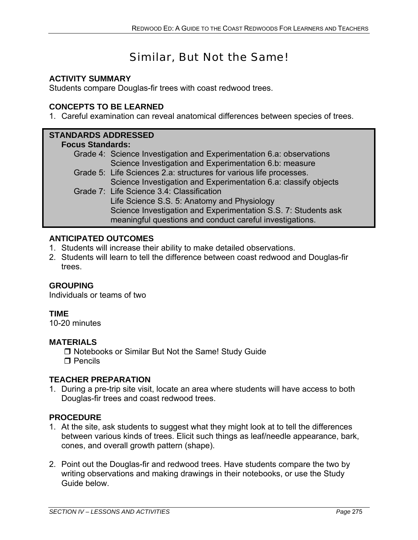# Similar, But Not the Same!

## **ACTIVITY SUMMARY**

Students compare Douglas-fir trees with coast redwood trees.

## **CONCEPTS TO BE LEARNED**

1. Careful examination can reveal anatomical differences between species of trees.

## **STANDARDS ADDRESSED**

#### **Focus Standards:**

- Grade 4: Science Investigation and Experimentation 6.a: observations Science Investigation and Experimentation 6.b: measure
- Grade 5: Life Sciences 2.a: structures for various life processes. Science Investigation and Experimentation 6.a: classify objects Grade 7: Life Science 3.4: Classification
	- Life Science S.S. 5: Anatomy and Physiology Science Investigation and Experimentation S.S. 7: Students ask meaningful questions and conduct careful investigations.

#### **ANTICIPATED OUTCOMES**

- 1. Students will increase their ability to make detailed observations.
- 2. Students will learn to tell the difference between coast redwood and Douglas-fir trees.

#### **GROUPING**

Individuals or teams of two

#### **TIME**

10-20 minutes

#### **MATERIALS**

□ Notebooks or Similar But Not the Same! Study Guide  $\Box$  Pencils

#### **TEACHER PREPARATION**

1. During a pre-trip site visit, locate an area where students will have access to both Douglas-fir trees and coast redwood trees.

#### **PROCEDURE**

- 1. At the site, ask students to suggest what they might look at to tell the differences between various kinds of trees. Elicit such things as leaf/needle appearance, bark, cones, and overall growth pattern (shape).
- 2. Point out the Douglas-fir and redwood trees. Have students compare the two by writing observations and making drawings in their notebooks, or use the Study Guide below.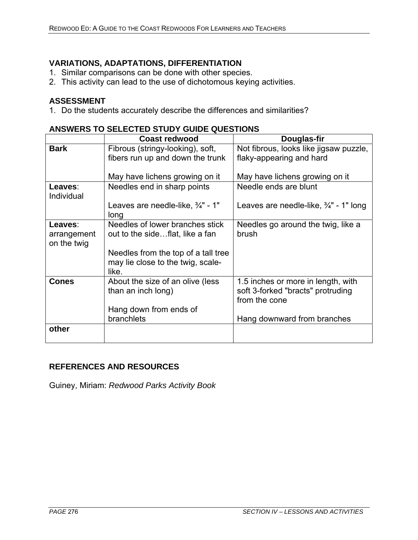## **VARIATIONS, ADAPTATIONS, DIFFERENTIATION**

- 1. Similar comparisons can be done with other species.
- 2. This activity can lead to the use of dichotomous keying activities.

#### **ASSESSMENT**

1. Do the students accurately describe the differences and similarities?

| ANSWERS TO SELECTED STUDT GUIDE QUESTIONS            |                                                                                                                                              |  |  |
|------------------------------------------------------|----------------------------------------------------------------------------------------------------------------------------------------------|--|--|
| <b>Coast redwood</b>                                 | Douglas-fir                                                                                                                                  |  |  |
| Fibrous (stringy-looking), soft,                     | Not fibrous, looks like jigsaw puzzle,                                                                                                       |  |  |
| fibers run up and down the trunk                     | flaky-appearing and hard                                                                                                                     |  |  |
|                                                      |                                                                                                                                              |  |  |
| May have lichens growing on it                       | May have lichens growing on it                                                                                                               |  |  |
| Needles end in sharp points                          | Needle ends are blunt                                                                                                                        |  |  |
| Leaves are needle-like, $\frac{3}{4}$ " - 1"<br>long | Leaves are needle-like, $\frac{3}{4}$ " - 1" long                                                                                            |  |  |
| Needles of lower branches stick                      | Needles go around the twig, like a                                                                                                           |  |  |
| out to the sideflat, like a fan                      | brush                                                                                                                                        |  |  |
|                                                      |                                                                                                                                              |  |  |
| Needles from the top of a tall tree                  |                                                                                                                                              |  |  |
|                                                      |                                                                                                                                              |  |  |
|                                                      |                                                                                                                                              |  |  |
|                                                      | 1.5 inches or more in length, with                                                                                                           |  |  |
|                                                      | soft 3-forked "bracts" protruding                                                                                                            |  |  |
|                                                      | from the cone                                                                                                                                |  |  |
|                                                      |                                                                                                                                              |  |  |
|                                                      | Hang downward from branches                                                                                                                  |  |  |
|                                                      |                                                                                                                                              |  |  |
|                                                      | may lie close to the twig, scale-<br>like.<br>About the size of an olive (less<br>than an inch long)<br>Hang down from ends of<br>branchlets |  |  |

## **ANSWERS TO SELECTED STUDY GUIDE QUESTIONS**

#### **REFERENCES AND RESOURCES**

Guiney, Miriam: *Redwood Parks Activity Book*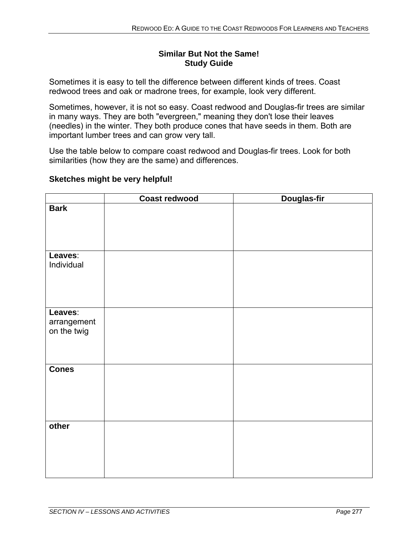#### **Similar But Not the Same! Study Guide**

Sometimes it is easy to tell the difference between different kinds of trees. Coast redwood trees and oak or madrone trees, for example, look very different.

Sometimes, however, it is not so easy. Coast redwood and Douglas-fir trees are similar in many ways. They are both "evergreen," meaning they don't lose their leaves (needles) in the winter. They both produce cones that have seeds in them. Both are important lumber trees and can grow very tall.

Use the table below to compare coast redwood and Douglas-fir trees. Look for both similarities (how they are the same) and differences.

#### **Sketches might be very helpful!**

|                                       | <b>Coast redwood</b> | Douglas-fir |
|---------------------------------------|----------------------|-------------|
| <b>Bark</b>                           |                      |             |
| Leaves:<br>Individual                 |                      |             |
| Leaves:<br>arrangement<br>on the twig |                      |             |
| <b>Cones</b>                          |                      |             |
| other                                 |                      |             |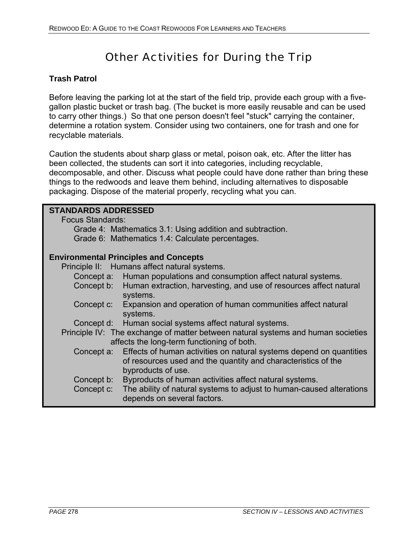# Other Activities for During the Trip

## **Trash Patrol**

Before leaving the parking lot at the start of the field trip, provide each group with a fivegallon plastic bucket or trash bag. (The bucket is more easily reusable and can be used to carry other things.) So that one person doesn't feel "stuck" carrying the container, determine a rotation system. Consider using two containers, one for trash and one for recyclable materials.

Caution the students about sharp glass or metal, poison oak, etc. After the litter has been collected, the students can sort it into categories, including recyclable, decomposable, and other. Discuss what people could have done rather than bring these things to the redwoods and leave them behind, including alternatives to disposable packaging. Dispose of the material properly, recycling what you can.

| <b>STANDARDS ADDRESSED</b>                                                           |                                                                                  |  |
|--------------------------------------------------------------------------------------|----------------------------------------------------------------------------------|--|
| <b>Focus Standards:</b><br>Grade 4: Mathematics 3.1: Using addition and subtraction. |                                                                                  |  |
|                                                                                      | Grade 6: Mathematics 1.4: Calculate percentages.                                 |  |
|                                                                                      |                                                                                  |  |
| <b>Environmental Principles and Concepts</b>                                         |                                                                                  |  |
|                                                                                      | Principle II: Humans affect natural systems.                                     |  |
|                                                                                      | Concept a: Human populations and consumption affect natural systems.             |  |
|                                                                                      | Concept b: Human extraction, harvesting, and use of resources affect natural     |  |
|                                                                                      | systems.                                                                         |  |
|                                                                                      | Concept c: Expansion and operation of human communities affect natural           |  |
|                                                                                      | systems.                                                                         |  |
|                                                                                      | Concept d: Human social systems affect natural systems.                          |  |
|                                                                                      | Principle IV: The exchange of matter between natural systems and human societies |  |
|                                                                                      | affects the long-term functioning of both.                                       |  |
| Concept a:                                                                           | Effects of human activities on natural systems depend on quantities              |  |
|                                                                                      | of resources used and the quantity and characteristics of the                    |  |
|                                                                                      | byproducts of use.                                                               |  |
| Concept b:                                                                           | Byproducts of human activities affect natural systems.                           |  |
| Concept c:                                                                           | The ability of natural systems to adjust to human-caused alterations             |  |
|                                                                                      | depends on several factors.                                                      |  |
|                                                                                      |                                                                                  |  |